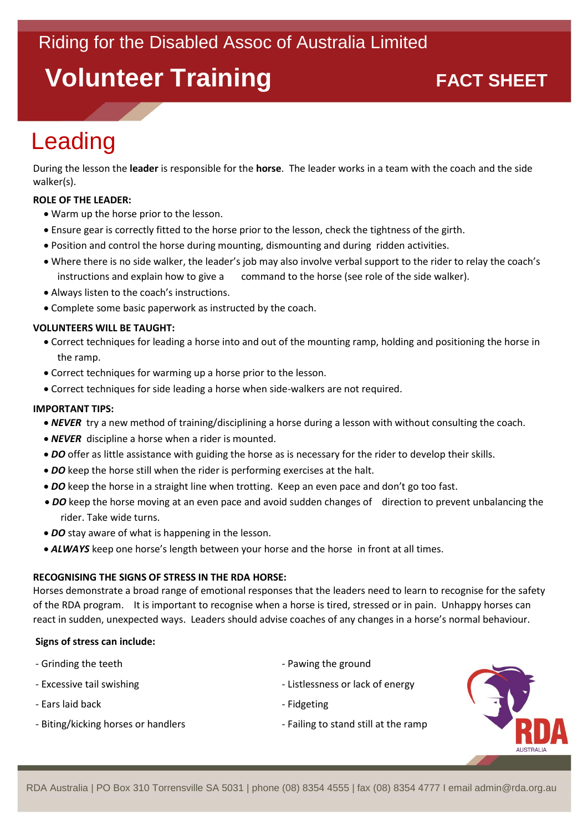## **Volunteer Training <b>EXACT SHEET**

# Leading

During the lesson the **leader** is responsible for the **horse**. The leader works in a team with the coach and the side walker(s).

## **ROLE OF THE LEADER:**

- Warm up the horse prior to the lesson.
- Ensure gear is correctly fitted to the horse prior to the lesson, check the tightness of the girth.
- Position and control the horse during mounting, dismounting and during ridden activities.
- Where there is no side walker, the leader's job may also involve verbal support to the rider to relay the coach's instructions and explain how to give a command to the horse (see role of the side walker).
- Always listen to the coach's instructions.
- Complete some basic paperwork as instructed by the coach.

## **VOLUNTEERS WILL BE TAUGHT:**

- Correct techniques for leading a horse into and out of the mounting ramp, holding and positioning the horse in the ramp.
- Correct techniques for warming up a horse prior to the lesson.
- Correct techniques for side leading a horse when side-walkers are not required.

## **IMPORTANT TIPS:**

- *NEVER* try a new method of training/disciplining a horse during a lesson with without consulting the coach.
- *NEVER* discipline a horse when a rider is mounted.
- *DO* offer as little assistance with guiding the horse as is necessary for the rider to develop their skills.
- *DO* keep the horse still when the rider is performing exercises at the halt.
- *DO* keep the horse in a straight line when trotting. Keep an even pace and don't go too fast.
- DO keep the horse moving at an even pace and avoid sudden changes of direction to prevent unbalancing the rider. Take wide turns.
- *DO* stay aware of what is happening in the lesson.
- *ALWAYS* keep one horse's length between your horse and the horse in front at all times.

## **RECOGNISING THE SIGNS OF STRESS IN THE RDA HORSE:**

Horses demonstrate a broad range of emotional responses that the leaders need to learn to recognise for the safety of the RDA program. It is important to recognise when a horse is tired, stressed or in pain. Unhappy horses can react in sudden, unexpected ways. Leaders should advise coaches of any changes in a horse's normal behaviour.

## **Signs of stress can include:**

- Grinding the teeth  $\overline{ }$  Pawing the ground
- 
- 
- 
- Excessive tail swishing  $\overline{\phantom{a}}$  Listlessness or lack of energy
- Ears laid back Fidgeting
	-
- Biting/kicking horses or handlers Failing to stand still at the ramp
-